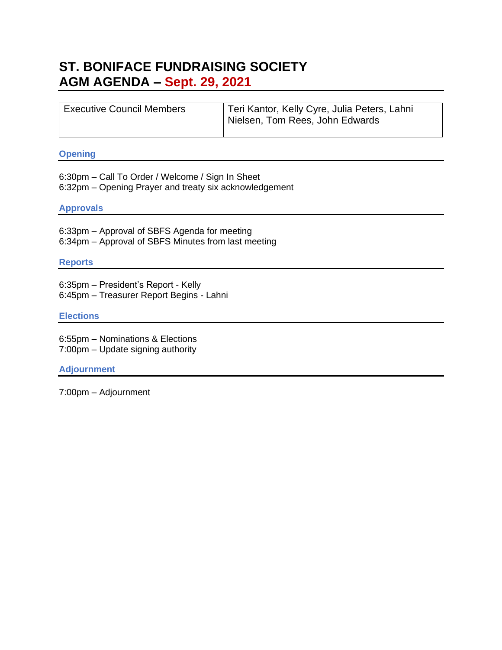## **ST. BONIFACE FUNDRAISING SOCIETY AGM AGENDA – Sept. 29, 2021**

| <sup>1</sup> Executive Council Members | Teri Kantor, Kelly Cyre, Julia Peters, Lahni<br>Nielsen, Tom Rees, John Edwards |
|----------------------------------------|---------------------------------------------------------------------------------|
|----------------------------------------|---------------------------------------------------------------------------------|

### **Opening**

6:30pm – Call To Order / Welcome / Sign In Sheet 6:32pm – Opening Prayer and treaty six acknowledgement

### **Approvals**

6:33pm – Approval of SBFS Agenda for meeting 6:34pm – Approval of SBFS Minutes from last meeting

#### **Reports**

6:35pm – President's Report - Kelly 6:45pm – Treasurer Report Begins - Lahni

#### **Elections**

6:55pm – Nominations & Elections 7:00pm – Update signing authority

### **Adjournment**

7:00pm – Adjournment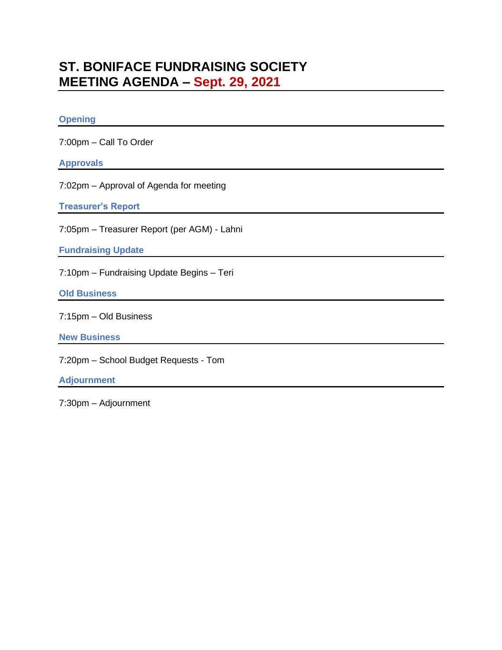# **ST. BONIFACE FUNDRAISING SOCIETY MEETING AGENDA – Sept. 29, 2021**

## **Opening**

7:00pm – Call To Order

### **Approvals**

7:02pm – Approval of Agenda for meeting

**Treasurer's Report**

7:05pm – Treasurer Report (per AGM) - Lahni

**Fundraising Update**

7:10pm – Fundraising Update Begins – Teri

**Old Business**

7:15pm – Old Business

**New Business**

7:20pm – School Budget Requests - Tom

**Adjournment**

7:30pm – Adjournment